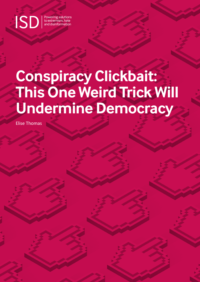**SD** Powering solutions<br>and disinformation

# **Conspiracy Clickbait: This One Weird Trick Will Undermine Democracy**

Elise Thomas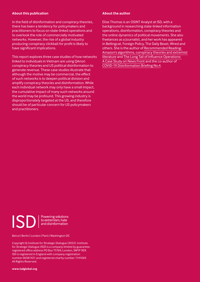### **About this publication**

In the field of disinformation and conspiracy theories, there has been a tendency for policymakers and practitioners to focus on state-linked operations and to overlook the role of commercially motivated networks. However, the rise of a global industry producing conspiracy clickbait for profit is likely to have significant implications.

This report explores three case studies of how networks linked to individuals in Vietnam are using QAnon conspiracy theories and US political disinformation to generate revenue. These case studies illustrate that although the motive may be commercial, the effect of such networks is to deepen political division and amplify conspiracy theories and disinformation. While each individual network may only have a small impact, the cumulative impact of many such networks around the world may be profound. This growing industry is disproportionately targeted at the US, and therefore should be of particular concern for US policymakers and practitioners.

### **About the author**

Elise Thomas is an OSINT Analyst at ISD, with a background in researching state-linked information operations, disinformation, conspiracy theories and the online dynamics of political movements. She also freelances as a journalist, and her work has appeared in Bellingcat, Foreign Policy, The Daily Beast, Wired and others. She is the author of [Recommended Reading:](https://www.isdglobal.org/isd-publications/recommended-reading-amazons-algorithms-conspiracy-theories-and-extremist-literature/)  [Amazon's algorithms](https://www.isdglobal.org/isd-publications/recommended-reading-amazons-algorithms-conspiracy-theories-and-extremist-literature/)[, conspiracy theories and extremist](https://www.isdglobal.org/isd-publications/recommended-reading-amazons-algorithms-conspiracy-theories-and-extremist-literature/)  [literature](https://www.isdglobal.org/isd-publications/recommended-reading-amazons-algorithms-conspiracy-theories-and-extremist-literature/) and [The Long Tail of Influence Operations:](https://www.isdglobal.org/isd-publications/the-long-tail-of-influence-operations-a-case-study-on-news-front/)  [A Case Study on News Front](https://www.isdglobal.org/isd-publications/the-long-tail-of-influence-operations-a-case-study-on-news-front/) and the co-author of [COVID-19 Disinformation Briefing No.4](https://www.isdglobal.org/isd-publications/covid-19-disinformation-briefing-no-4/).



Powering solutions to extremism, hate and disinformation

Beirut | Berlin | London | Paris | Washington DC

Copyright © Institute for Strategic Dialogue (2022). Institute for Strategic Dialogue (ISD) is a company limited by guarantee, registered office address PO Box 75769, London, SW1P 9ER. ISD is registered in England with company registration number 06581421 and registered charity number 1141069. All Rights Reserved.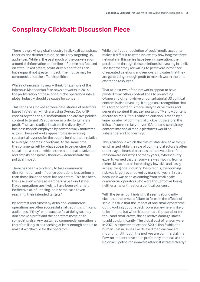### **Conspiracy Clickbait: Discussion Piece**

There is a growing global industry in clickbait conspiracy theories and disinformation, particularly targeting US audiences. While in the past much of the conversation around disinformation and online influence has focused on state-linked actors, profit-driven operations can have equal if not greater impact. The motive may be commercial, but the effect is political.

While not necessarily new – think for example of the infamous Macedonian fake news networks in 2016 – the proliferation of these once-niche operations into a global industry should be cause for concern.

This series has looked at three case studies of networks based in Vietnam which are using QAnon, Covid-19 conspiracy theories, disinformation and divisive political content to target US audiences in order to generate profit. The case studies illustrate the diversity of business models employed by commercially motivated actors. These networks appear to be generating substantial revenue for the people behind them, relative to average incomes in Vietnam. At the same time, the comments left by what appear to be genuine US social media users – which express political polarization and amplify conspiracy theories – demonstrate the political impact.

There has been a tendency to take commercial disinformation and influence operations less seriously than those linked to state-backed actors. This has been the case even where researchers have found statelinked operations are likely to have been extremely ineffective at influencing, or in some cases even reaching, their intended targets.<sup>1</sup>

By contrast and almost by definition, commercial operations are often successful at attracting significant audiences. If they're not successful at doing so, they don't make a profit and the operators move on to something else. Any sustained commercial operation is therefore likely to be reaching at least enough people to make it worthwhile for the operators.

While the frequent deletion of social media accounts makes it difficult to establish exactly how long the three networks in this series have been in operation, their persistence through these deletions is revealing in itself. The fact that they are willing to persevere in the face of repeated deletions and removals indicates that they are generating enough profit to make it worth the time, effort and resources.

That at least two of the networks appear to have pivoted from other content lines to promoting QAnon and other divisive or conspiratorial US political content is also revealing: it suggests a recognition that this sort of content is more likely to drive clicks and generate content than, say, nostalgic TV show content or cute animals. If this same calculation is made by a large number of commercial clickbait operators, the influx of commercially-driven QAnon and conspiracy content into social media platforms would be substantial and concerning.

This situation in which the role of state-linked actors is emphasized while the role of commercial actors is often underplayed bears similarities to the evolution of the ransomware industry. For many years, cybersecurity experts warned that ransomware was moving from a niche skillset into an increasingly low-skill and easily accessible global industry. Despite this, the looming risk was largely overlooked by many for years, in part because it was seen as coming from small-scale commercial operators who were thought of as being neither a major threat or a political concern.

With the benefit of hindsight, it seems abundantly clear that there was a failure to foresee the effects of scale. It's true that the impact of one small cybercrime outfit working out of a back room somewhere is likely to be limited, but when it becomes a thousand, or ten thousand small crews, the collective damage starts to add up significantly. The global cost of ransomware in 2021 is expected to exceed \$20 billion,<sup>2</sup> while the human cost in issues like delayed medical care are mounting.3 Although the motives are commercial, the flow-on impacts have been profoundly political, as the Colonial Pipeline ransomware attack illustrated clearly.4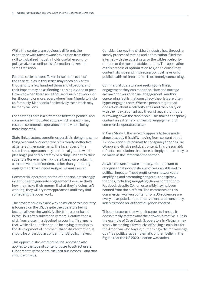While the contexts are obviously different, the experience with ransomware's evolution from niche skill to globalized industry holds useful lessons for policymakers as online disinformation makes the same transition.

For one, scale matters. Taken in isolation, each of the case studies in this series may reach only a few thousand to a few hundred thousand of people, and their impact may be as fleeting as a single video or post. However, when there are a thousand such networks, or ten thousand or more, everywhere from Nigeria to India to, famously, Macedonia,<sup>5</sup> collectively their reach may be many millions.

For another, there is a difference between political and commercially motivated actors which arguably may result in commercial operators on the whole being more impactful.

State-linked actors sometimes persist in doing the same thing over and over even when it's clearly ineffective at generating engagement. The incentives of the state-linked operators may be more aligned towards pleasing a political hierarchy or hitting KPIs set by their superiors (for example if KPIs are based on producing a certain volume of content, rather than generating engagement) than necessarily achieving a result.

Commercial operators, on the other hand, are strongly incentivized to generate engagement because that's how they make their money. If what they're doing isn't working, they will try new approaches until they find something that does work.

The profit motive explains why so much of this industry is focused on the US, despite the operators being located all over the world. A click from a user based in the US is often substantially more lucrative than a click from a user in a developing country. This means that, while all countries should be paying attention to the development of commercialized disinformation, it should be of particular concern for US policymakers.

This opportunistic, entrepreneurial approach also applies to the type of content it uses to attract users. Fundamentally these are clickbait businesses – and that should worry us.

Consider the way the clickbait industry has, through a steady process of testing and optimization, filled the internet with the cutest cats, or the wildest celebrity rumors, or the most relatable memes. The application of this process of optimization to QAnon conspiracy content, divisive and misleading political news or to public health misinformation is extremely concerning.

Commercial operators are seeking one thing: engagement they can monetize. Hate and outrage are major drivers of online engagement. Another concerning fact is that conspiracy theorists are often hyper-engaged users. Where a person might read one article about a celebrity affair and then carry on with their day, a conspiracy theorist may sit for hours burrowing down the rabbit-hole. This makes conspiracy content an extremely rich vein of engagement for commercial operators to tap.

In Case Study 1, the network appears to have made almost exactly this shift, moving from content about TV shows and cute animals to conspiracy theories like QAnon and divisive political content. This presumably reflects a calculation that there is simply more money to be made in the latter than the former.

As with the ransomware industry, it's important to recognize that non-political motives can still lead to political impacts. These profit-driven networks are amplifying and promoting dangerous conspiracy theories, including smuggling QAnon content onto Facebook despite QAnon ostensibly having been banned from the platform. The comments on this commercially-driven content from US audiences are every bit as polarized, at times violent, and conspiracyladen as those on 'authentic' QAnon content.

This underscores that when it comes to impact, it doesn't really matter what the network's motive is. As in the example of Case Study 3, operators in Vietnam may simply be making a few bucks off selling a coin, but for the American who buys it, purchasing a 'Trump Revenge Coin' is a political act emblematic of their belief in the Big Lie that the US 2020 election was stolen.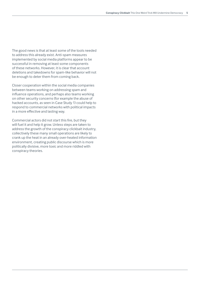The good news is that at least some of the tools needed to address this already exist. Anti-spam measures implemented by social media platforms appear to be successful in removing at least some components of these networks. However, it is clear that account deletions and takedowns for spam-like behavior will not be enough to deter them from coming back.

Closer cooperation within the social media companies between teams working on addressing spam and influence operations, and perhaps also teams working on other security concerns (for example the abuse of hacked accounts, as seen in Case Study 1) could help to respond to commercial networks with political impacts in a more effective and lasting way.

Commercial actors did not start this fire, but they will fuel it and help it grow. Unless steps are taken to address the growth of the conspiracy clickbait industry, collectively these many small operations are likely to crank up the heat in an already over-heated information environment, creating public discourse which is more politically divisive, more toxic and more riddled with conspiracy theories.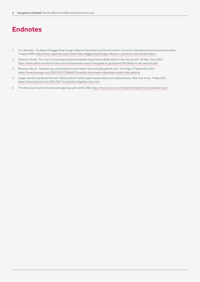## **Endnotes**

- 1. Lim, Gabrielle. 'The Risks of Exaggerating Foreign Influence Operations and Disinformation', Centre for International Governance Innovation, 7 August 2020, [https://www.cigionline.org/articles/risks-exaggerating-foreign-influence-operations-and-disinformation/](https://www.cigionline.org/articles/risks-exaggerating-foreign-influence-operations-and-disinformati)
- 2. Osborne, Charlie. 'The cost of ransomware attacks worldwide will go beyond \$265 billion in the next decade', ZD Net, 7 June 2021, [https://www.zdnet.com/article/the-cost-of-ransomware-around-the-globe-to-go-beyond-265-billion-in-the-next-decade/](https://www.zdnet.com/article/the-cost-of-ransomware-around-the-globe-to-go-beyond-265-billion-in-th)
- 3. Wetsman, Nicole. 'Hospitals say cyberattacks increase death rates and delay patient care', The Verge, 27 September 2021, <https://www.theverge.com/2021/9/27/22696097/hospital-ransomware-cyberattack-death-rates-patients>
- 4. Sanger, David E and Nicole Perlroth. 'Pipeline Attack Yields Urgent Lessons About U.S. Cybersecurity', New York Times, 14 May 2021, <https://www.nytimes.com/2021/05/14/us/politics/pipeline-hack.html>
- 5. 'The fake news machine: Inside a town gearing up for 2020', CNN,<https://money.cnn.com/interactive/media/the-macedonia-story/>